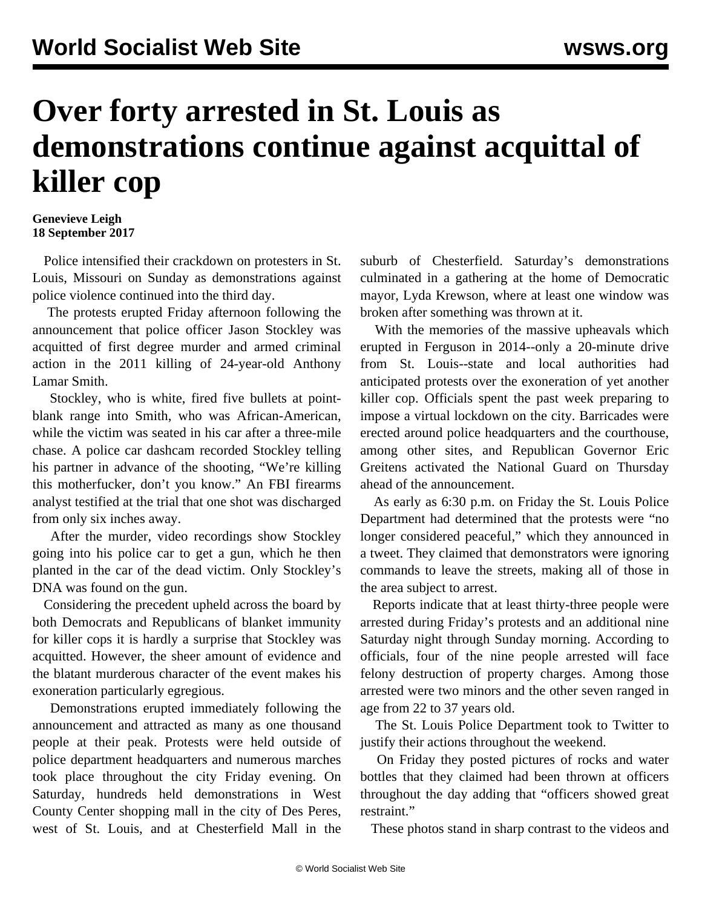## **Over forty arrested in St. Louis as demonstrations continue against acquittal of killer cop**

## **Genevieve Leigh 18 September 2017**

 Police intensified their crackdown on protesters in St. Louis, Missouri on Sunday as demonstrations against police violence continued into the third day.

 The protests erupted Friday afternoon following the announcement that police officer Jason Stockley was acquitted of first degree murder and armed criminal action in the 2011 killing of 24-year-old Anthony Lamar Smith.

 Stockley, who is white, fired five bullets at pointblank range into Smith, who was African-American, while the victim was seated in his car after a three-mile chase. A police car dashcam recorded Stockley telling his partner in advance of the shooting, "We're killing this motherfucker, don't you know." An FBI firearms analyst testified at the trial that one shot was discharged from only six inches away.

 After the murder, video recordings show Stockley going into his police car to get a gun, which he then planted in the car of the dead victim. Only Stockley's DNA was found on the gun.

 Considering the precedent upheld across the board by both Democrats and Republicans of blanket immunity for killer cops it is hardly a surprise that Stockley was acquitted. However, the sheer amount of evidence and the blatant murderous character of the event makes his exoneration particularly egregious.

 Demonstrations erupted immediately following the announcement and attracted as many as one thousand people at their peak. Protests were held outside of police department headquarters and numerous marches took place throughout the city Friday evening. On Saturday, hundreds held demonstrations in West County Center shopping mall in the city of Des Peres, west of St. Louis, and at Chesterfield Mall in the

suburb of Chesterfield. Saturday's demonstrations culminated in a gathering at the home of Democratic mayor, Lyda Krewson, where at least one window was broken after something was thrown at it.

 With the memories of the massive upheavals which erupted in Ferguson in 2014--only a 20-minute drive from St. Louis--state and local authorities had anticipated protests over the exoneration of yet another killer cop. Officials spent the past week preparing to impose a virtual lockdown on the city. Barricades were erected around police headquarters and the courthouse, among other sites, and Republican Governor Eric Greitens activated the National Guard on Thursday ahead of the announcement.

 As early as 6:30 p.m. on Friday the St. Louis Police Department had determined that the protests were "no longer considered peaceful," which they announced in a tweet. They claimed that demonstrators were ignoring commands to leave the streets, making all of those in the area subject to arrest.

 Reports indicate that at least thirty-three people were arrested during Friday's protests and an additional nine Saturday night through Sunday morning. According to officials, four of the nine people arrested will face felony destruction of property charges. Among those arrested were two minors and the other seven ranged in age from 22 to 37 years old.

 The St. Louis Police Department took to Twitter to justify their actions throughout the weekend.

 On Friday they posted pictures of rocks and water bottles that they claimed had been thrown at officers throughout the day adding that "officers showed great restraint."

These photos stand in sharp contrast to the videos and